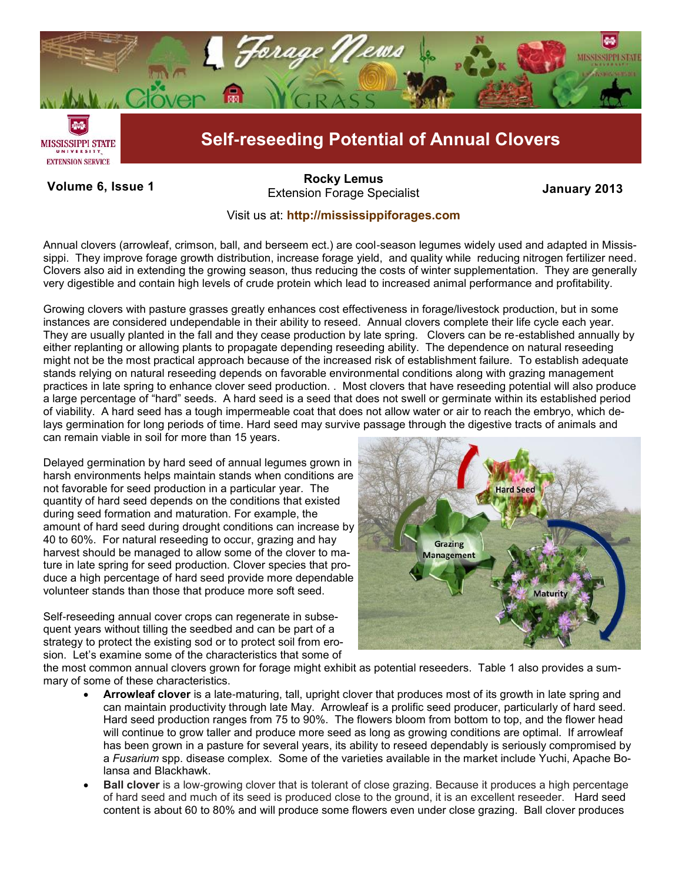

**Volume 6, Issue 1 January 2013** Extension Forage Specialist **[Rocky Lemus](mailto:RLemus@ext.msstate.edu?subject=Forage%20News:%20Janaury%202011)**

## Visit us at: **<http://mississippiforages.com>**

Annual clovers (arrowleaf, crimson, ball, and berseem ect.) are cool-season legumes widely used and adapted in Mississippi. They improve forage growth distribution, increase forage yield, and quality while reducing nitrogen fertilizer need. Clovers also aid in extending the growing season, thus reducing the costs of winter supplementation. They are generally very digestible and contain high levels of crude protein which lead to increased animal performance and profitability.

Growing clovers with pasture grasses greatly enhances cost effectiveness in forage/livestock production, but in some instances are considered undependable in their ability to reseed. Annual clovers complete their life cycle each year. They are usually planted in the fall and they cease production by late spring. Clovers can be re-established annually by either replanting or allowing plants to propagate depending reseeding ability. The dependence on natural reseeding might not be the most practical approach because of the increased risk of establishment failure. To establish adequate stands relying on natural reseeding depends on favorable environmental conditions along with grazing management practices in late spring to enhance clover seed production. . Most clovers that have reseeding potential will also produce a large percentage of "hard" seeds. A hard seed is a seed that does not swell or germinate within its established period of viability. A hard seed has a tough impermeable coat that does not allow water or air to reach the embryo, which delays germination for long periods of time. Hard seed may survive passage through the digestive tracts of animals and can remain viable in soil for more than 15 years.

Delayed germination by hard seed of annual legumes grown in harsh environments helps maintain stands when conditions are not favorable for seed production in a particular year. The quantity of hard seed depends on the conditions that existed during seed formation and maturation. For example, the amount of hard seed during drought conditions can increase by 40 to 60%. For natural reseeding to occur, grazing and hay harvest should be managed to allow some of the clover to mature in late spring for seed production. Clover species that produce a high percentage of hard seed provide more dependable volunteer stands than those that produce more soft seed.

Self-reseeding annual cover crops can regenerate in subsequent years without tilling the seedbed and can be part of a strategy to protect the existing sod or to protect soil from erosion. Let's examine some of the characteristics that some of



the most common annual clovers grown for forage might exhibit as potential reseeders. Table 1 also provides a summary of some of these characteristics.

- **Arrowleaf clover** is a late-maturing, tall, upright clover that produces most of its growth in late spring and can maintain productivity through late May. Arrowleaf is a prolific seed producer, particularly of hard seed. Hard seed production ranges from 75 to 90%. The flowers bloom from bottom to top, and the flower head will continue to grow taller and produce more seed as long as growing conditions are optimal. If arrowleaf has been grown in a pasture for several years, its ability to reseed dependably is seriously compromised by a *Fusarium* spp. disease complex. Some of the varieties available in the market include Yuchi, Apache Bolansa and Blackhawk.
- **Ball clover** is a low-growing clover that is tolerant of close grazing. Because it produces a high percentage of hard seed and much of its seed is produced close to the ground, it is an excellent reseeder. Hard seed content is about 60 to 80% and will produce some flowers even under close grazing. Ball clover produces